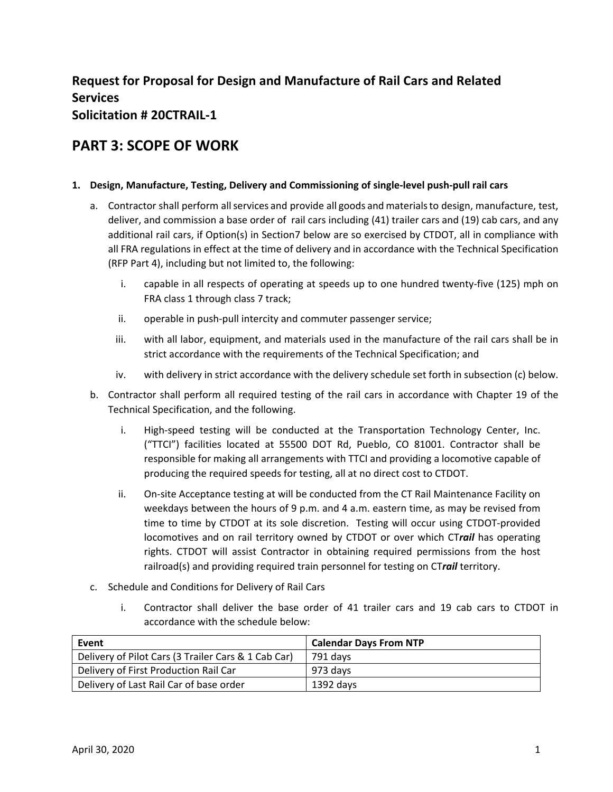# **Request for Proposal for Design and Manufacture of Rail Cars and Related Services Solicitation # 20CTRAIL‐1**

# **PART 3: SCOPE OF WORK**

## **1. Design, Manufacture, Testing, Delivery and Commissioning of single‐level push‐pull rail cars**

- a. Contractor shall perform all services and provide all goods and materials to design, manufacture, test, deliver, and commission a base order of rail cars including (41) trailer cars and (19) cab cars, and any additional rail cars, if Option(s) in Section7 below are so exercised by CTDOT, all in compliance with all FRA regulations in effect at the time of delivery and in accordance with the Technical Specification (RFP Part 4), including but not limited to, the following:
	- i. capable in all respects of operating at speeds up to one hundred twenty‐five (125) mph on FRA class 1 through class 7 track;
	- ii. operable in push-pull intercity and commuter passenger service;
	- iii. with all labor, equipment, and materials used in the manufacture of the rail cars shall be in strict accordance with the requirements of the Technical Specification; and
	- iv. with delivery in strict accordance with the delivery schedule set forth in subsection (c) below.
- b. Contractor shall perform all required testing of the rail cars in accordance with Chapter 19 of the Technical Specification, and the following.
	- i. High-speed testing will be conducted at the Transportation Technology Center, Inc. ("TTCI") facilities located at 55500 DOT Rd, Pueblo, CO 81001. Contractor shall be responsible for making all arrangements with TTCI and providing a locomotive capable of producing the required speeds for testing, all at no direct cost to CTDOT.
	- ii. On‐site Acceptance testing at will be conducted from the CT Rail Maintenance Facility on weekdays between the hours of 9 p.m. and 4 a.m. eastern time, as may be revised from time to time by CTDOT at its sole discretion. Testing will occur using CTDOT-provided locomotives and on rail territory owned by CTDOT or over which CTrail has operating rights. CTDOT will assist Contractor in obtaining required permissions from the host railroad(s) and providing required train personnel for testing on CT*rail* territory.
- c. Schedule and Conditions for Delivery of Rail Cars
	- i. Contractor shall deliver the base order of 41 trailer cars and 19 cab cars to CTDOT in accordance with the schedule below:

| Event                                               | <b>Calendar Days From NTP</b> |
|-----------------------------------------------------|-------------------------------|
| Delivery of Pilot Cars (3 Trailer Cars & 1 Cab Car) | 791 davs                      |
| Delivery of First Production Rail Car               | 973 days                      |
| Delivery of Last Rail Car of base order             | 1392 days                     |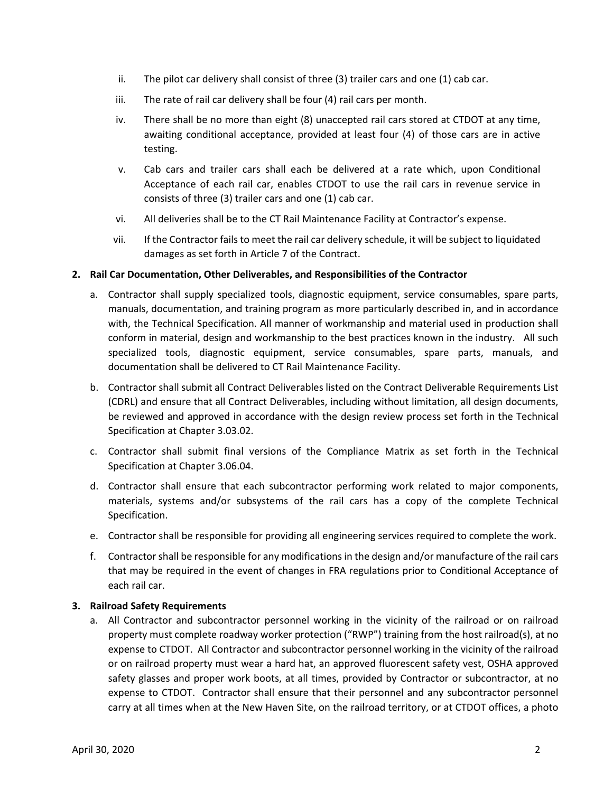- ii. The pilot car delivery shall consist of three (3) trailer cars and one (1) cab car.
- iii. The rate of rail car delivery shall be four (4) rail cars per month.
- iv. There shall be no more than eight (8) unaccepted rail cars stored at CTDOT at any time, awaiting conditional acceptance, provided at least four  $(4)$  of those cars are in active testing.
- v. Cab cars and trailer cars shall each be delivered at a rate which, upon Conditional Acceptance of each rail car, enables CTDOT to use the rail cars in revenue service in consists of three (3) trailer cars and one (1) cab car.
- vi. All deliveries shall be to the CT Rail Maintenance Facility at Contractor's expense.
- vii. If the Contractor fails to meet the rail car delivery schedule, it will be subject to liquidated damages as set forth in Article 7 of the Contract.

#### **2. Rail Car Documentation, Other Deliverables, and Responsibilities of the Contractor**

- a. Contractor shall supply specialized tools, diagnostic equipment, service consumables, spare parts, manuals, documentation, and training program as more particularly described in, and in accordance with, the Technical Specification. All manner of workmanship and material used in production shall conform in material, design and workmanship to the best practices known in the industry. All such specialized tools, diagnostic equipment, service consumables, spare parts, manuals, and documentation shall be delivered to CT Rail Maintenance Facility.
- b. Contractor shall submit all Contract Deliverables listed on the Contract Deliverable Requirements List (CDRL) and ensure that all Contract Deliverables, including without limitation, all design documents, be reviewed and approved in accordance with the design review process set forth in the Technical Specification at Chapter 3.03.02.
- c. Contractor shall submit final versions of the Compliance Matrix as set forth in the Technical Specification at Chapter 3.06.04.
- d. Contractor shall ensure that each subcontractor performing work related to major components, materials, systems and/or subsystems of the rail cars has a copy of the complete Technical Specification.
- e. Contractor shall be responsible for providing all engineering services required to complete the work.
- f. Contractor shall be responsible for any modifications in the design and/or manufacture of the rail cars that may be required in the event of changes in FRA regulations prior to Conditional Acceptance of each rail car.

#### **3. Railroad Safety Requirements**

a. All Contractor and subcontractor personnel working in the vicinity of the railroad or on railroad property must complete roadway worker protection ("RWP") training from the host railroad(s), at no expense to CTDOT. All Contractor and subcontractor personnel working in the vicinity of the railroad or on railroad property must wear a hard hat, an approved fluorescent safety vest, OSHA approved safety glasses and proper work boots, at all times, provided by Contractor or subcontractor, at no expense to CTDOT. Contractor shall ensure that their personnel and any subcontractor personnel carry at all times when at the New Haven Site, on the railroad territory, or at CTDOT offices, a photo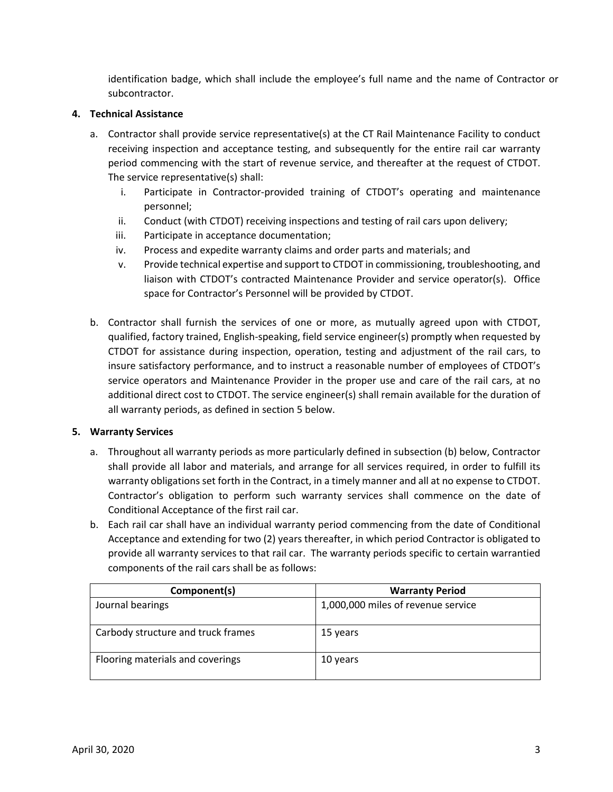identification badge, which shall include the employee's full name and the name of Contractor or subcontractor.

### **4. Technical Assistance**

- a. Contractor shall provide service representative(s) at the CT Rail Maintenance Facility to conduct receiving inspection and acceptance testing, and subsequently for the entire rail car warranty period commencing with the start of revenue service, and thereafter at the request of CTDOT. The service representative(s) shall:
	- i. Participate in Contractor-provided training of CTDOT's operating and maintenance personnel;
	- ii. Conduct (with CTDOT) receiving inspections and testing of rail cars upon delivery;
	- iii. Participate in acceptance documentation;
	- iv. Process and expedite warranty claims and order parts and materials; and
	- v. Provide technical expertise and support to CTDOT in commissioning, troubleshooting, and liaison with CTDOT's contracted Maintenance Provider and service operator(s). Office space for Contractor's Personnel will be provided by CTDOT.
- b. Contractor shall furnish the services of one or more, as mutually agreed upon with CTDOT, qualified, factory trained, English‐speaking, field service engineer(s) promptly when requested by CTDOT for assistance during inspection, operation, testing and adjustment of the rail cars, to insure satisfactory performance, and to instruct a reasonable number of employees of CTDOT's service operators and Maintenance Provider in the proper use and care of the rail cars, at no additional direct cost to CTDOT. The service engineer(s) shall remain available for the duration of all warranty periods, as defined in section 5 below.

# **5. Warranty Services**

- a. Throughout all warranty periods as more particularly defined in subsection (b) below, Contractor shall provide all labor and materials, and arrange for all services required, in order to fulfill its warranty obligations set forth in the Contract, in a timely manner and all at no expense to CTDOT. Contractor's obligation to perform such warranty services shall commence on the date of Conditional Acceptance of the first rail car.
- b. Each rail car shall have an individual warranty period commencing from the date of Conditional Acceptance and extending for two (2) years thereafter, in which period Contractor is obligated to provide all warranty services to that rail car. The warranty periods specific to certain warrantied components of the rail cars shall be as follows:

| Component(s)                       | <b>Warranty Period</b>             |
|------------------------------------|------------------------------------|
| Journal bearings                   | 1,000,000 miles of revenue service |
| Carbody structure and truck frames | 15 years                           |
| Flooring materials and coverings   | 10 years                           |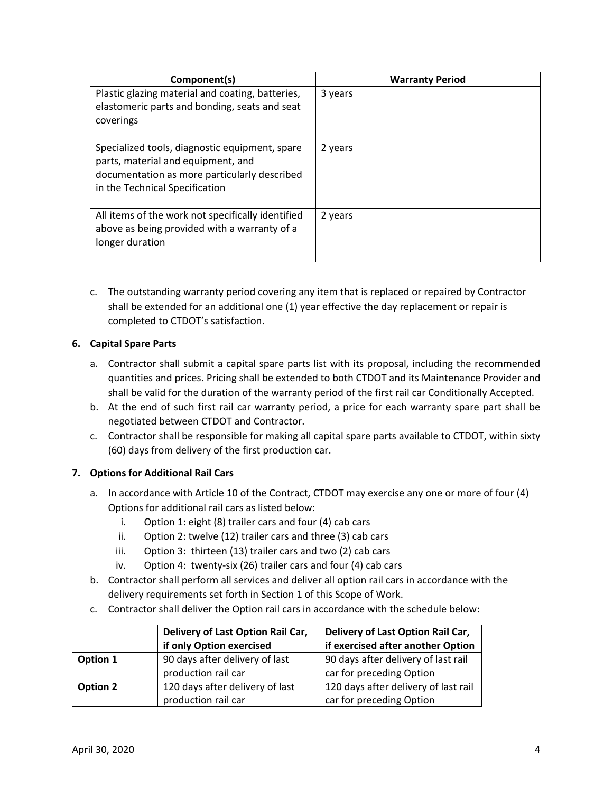| Component(s)                                                                                                                                                           | <b>Warranty Period</b> |
|------------------------------------------------------------------------------------------------------------------------------------------------------------------------|------------------------|
| Plastic glazing material and coating, batteries,<br>elastomeric parts and bonding, seats and seat<br>coverings                                                         | 3 years                |
| Specialized tools, diagnostic equipment, spare<br>parts, material and equipment, and<br>documentation as more particularly described<br>in the Technical Specification | 2 years                |
| All items of the work not specifically identified<br>above as being provided with a warranty of a<br>longer duration                                                   | 2 years                |

c. The outstanding warranty period covering any item that is replaced or repaired by Contractor shall be extended for an additional one (1) year effective the day replacement or repair is completed to CTDOT's satisfaction.

# **6. Capital Spare Parts**

- a. Contractor shall submit a capital spare parts list with its proposal, including the recommended quantities and prices. Pricing shall be extended to both CTDOT and its Maintenance Provider and shall be valid for the duration of the warranty period of the first rail car Conditionally Accepted.
- b. At the end of such first rail car warranty period, a price for each warranty spare part shall be negotiated between CTDOT and Contractor.
- c. Contractor shall be responsible for making all capital spare parts available to CTDOT, within sixty (60) days from delivery of the first production car.

# **7. Options for Additional Rail Cars**

- a. In accordance with Article 10 of the Contract, CTDOT may exercise any one or more of four (4) Options for additional rail cars as listed below:
	- i. Option 1: eight (8) trailer cars and four (4) cab cars
	- ii. Option 2: twelve (12) trailer cars and three (3) cab cars
	- iii. Option 3: thirteen (13) trailer cars and two (2) cab cars
	- iv. Option 4: twenty‐six (26) trailer cars and four (4) cab cars
- b. Contractor shall perform all services and deliver all option rail cars in accordance with the delivery requirements set forth in Section 1 of this Scope of Work.
- c. Contractor shall deliver the Option rail cars in accordance with the schedule below:

|          | Delivery of Last Option Rail Car, | Delivery of Last Option Rail Car,    |
|----------|-----------------------------------|--------------------------------------|
|          | if only Option exercised          | if exercised after another Option    |
| Option 1 | 90 days after delivery of last    | 90 days after delivery of last rail  |
|          | production rail car               | car for preceding Option             |
| Option 2 | 120 days after delivery of last   | 120 days after delivery of last rail |
|          | production rail car               | car for preceding Option             |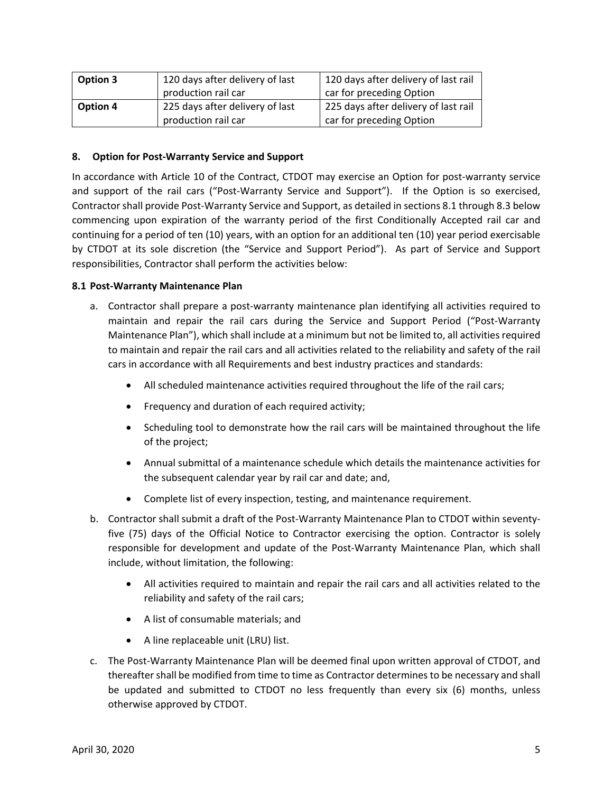| <b>Option 3</b> | 120 days after delivery of last | 120 days after delivery of last rail |
|-----------------|---------------------------------|--------------------------------------|
|                 | production rail car             | car for preceding Option             |
| Option 4        | 225 days after delivery of last | 225 days after delivery of last rail |
|                 | production rail car             | car for preceding Option             |

## **8. Option for Post‐Warranty Service and Support**

In accordance with Article 10 of the Contract, CTDOT may exercise an Option for post‐warranty service and support of the rail cars ("Post-Warranty Service and Support"). If the Option is so exercised, Contractor shall provide Post‐Warranty Service and Support, as detailed in sections 8.1 through 8.3 below commencing upon expiration of the warranty period of the first Conditionally Accepted rail car and continuing for a period of ten (10) years, with an option for an additional ten (10) year period exercisable by CTDOT at its sole discretion (the "Service and Support Period"). As part of Service and Support responsibilities, Contractor shall perform the activities below:

### **8.1 Post‐Warranty Maintenance Plan**

- a. Contractor shall prepare a post‐warranty maintenance plan identifying all activities required to maintain and repair the rail cars during the Service and Support Period ("Post‐Warranty Maintenance Plan"), which shall include at a minimum but not be limited to, all activities required to maintain and repair the rail cars and all activities related to the reliability and safety of the rail cars in accordance with all Requirements and best industry practices and standards:
	- All scheduled maintenance activities required throughout the life of the rail cars;
	- Frequency and duration of each required activity;
	- Scheduling tool to demonstrate how the rail cars will be maintained throughout the life of the project;
	- Annual submittal of a maintenance schedule which details the maintenance activities for the subsequent calendar year by rail car and date; and,
	- Complete list of every inspection, testing, and maintenance requirement.
- b. Contractor shall submit a draft of the Post-Warranty Maintenance Plan to CTDOT within seventyfive (75) days of the Official Notice to Contractor exercising the option. Contractor is solely responsible for development and update of the Post‐Warranty Maintenance Plan, which shall include, without limitation, the following:
	- All activities required to maintain and repair the rail cars and all activities related to the reliability and safety of the rail cars;
	- A list of consumable materials; and
	- A line replaceable unit (LRU) list.
- c. The Post‐Warranty Maintenance Plan will be deemed final upon written approval of CTDOT, and thereafter shall be modified from time to time as Contractor determines to be necessary and shall be updated and submitted to CTDOT no less frequently than every six (6) months, unless otherwise approved by CTDOT.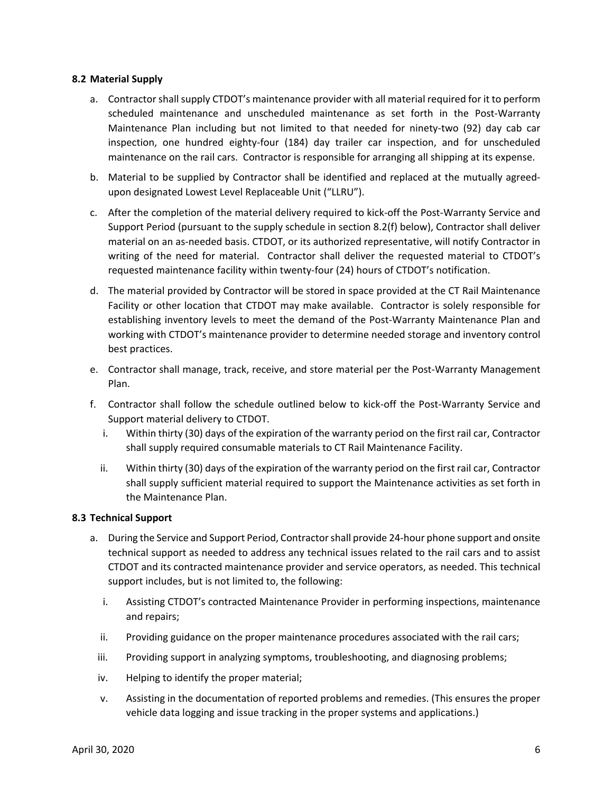### **8.2 Material Supply**

- a. Contractor shall supply CTDOT's maintenance provider with all material required for it to perform scheduled maintenance and unscheduled maintenance as set forth in the Post‐Warranty Maintenance Plan including but not limited to that needed for ninety-two (92) day cab car inspection, one hundred eighty-four (184) day trailer car inspection, and for unscheduled maintenance on the rail cars. Contractor is responsible for arranging all shipping at its expense.
- b. Material to be supplied by Contractor shall be identified and replaced at the mutually agreedupon designated Lowest Level Replaceable Unit ("LLRU").
- c. After the completion of the material delivery required to kick‐off the Post‐Warranty Service and Support Period (pursuant to the supply schedule in section 8.2(f) below), Contractor shall deliver material on an as‐needed basis. CTDOT, or its authorized representative, will notify Contractor in writing of the need for material. Contractor shall deliver the requested material to CTDOT's requested maintenance facility within twenty‐four (24) hours of CTDOT's notification.
- d. The material provided by Contractor will be stored in space provided at the CT Rail Maintenance Facility or other location that CTDOT may make available. Contractor is solely responsible for establishing inventory levels to meet the demand of the Post-Warranty Maintenance Plan and working with CTDOT's maintenance provider to determine needed storage and inventory control best practices.
- e. Contractor shall manage, track, receive, and store material per the Post‐Warranty Management Plan.
- f. Contractor shall follow the schedule outlined below to kick‐off the Post‐Warranty Service and Support material delivery to CTDOT.
	- i. Within thirty (30) days of the expiration of the warranty period on the first rail car, Contractor shall supply required consumable materials to CT Rail Maintenance Facility.
	- ii. Within thirty (30) days of the expiration of the warranty period on the first rail car, Contractor shall supply sufficient material required to support the Maintenance activities as set forth in the Maintenance Plan.

#### **8.3 Technical Support**

- a. During the Service and Support Period, Contractor shall provide 24‐hour phone support and onsite technical support as needed to address any technical issues related to the rail cars and to assist CTDOT and its contracted maintenance provider and service operators, as needed. This technical support includes, but is not limited to, the following:
	- i. Assisting CTDOT's contracted Maintenance Provider in performing inspections, maintenance and repairs;
	- ii. Providing guidance on the proper maintenance procedures associated with the rail cars;
	- iii. Providing support in analyzing symptoms, troubleshooting, and diagnosing problems;
	- iv. Helping to identify the proper material;
	- v. Assisting in the documentation of reported problems and remedies. (This ensures the proper vehicle data logging and issue tracking in the proper systems and applications.)